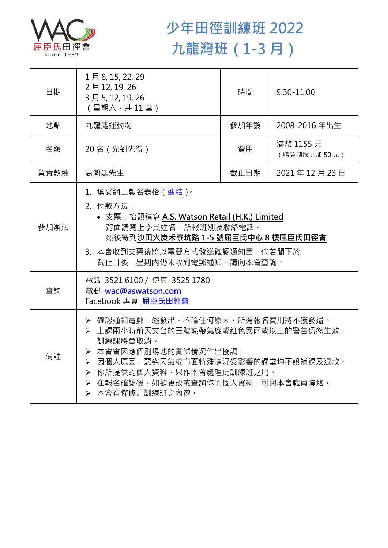

## **少年田徑訓練班 2022 九龍灣班(1-3 月)**

| 日期   | 1月8, 15, 22, 29<br>2月12, 19, 26<br>3月5, 12, 19, 26<br>(星期六,共11堂)                                                                                                                                                                      | 時間   | $9:30 - 11:00$           |  |
|------|---------------------------------------------------------------------------------------------------------------------------------------------------------------------------------------------------------------------------------------|------|--------------------------|--|
| 地點   | 九龍灣運動場                                                                                                                                                                                                                                | 參加年齡 | 2008-2016年出生             |  |
| 名額   | 20名 (先到先得)                                                                                                                                                                                                                            | 費用   | 港幣 1155 元<br>(購買制服另加50元) |  |
| 負責教練 | 袁瀚廷先生                                                                                                                                                                                                                                 | 截止日期 | 2021年12月23日              |  |
| 參加辦法 | 1.填妥網上報名表格(連結)。<br>2. 付款方法:<br>• 支票: 抬頭請寫 A.S. Watson Retail (H.K.) Limited<br>背面請寫上學員姓名,所報班別及聯絡電話。<br>然後寄到沙田火炭禾寮坑路 1-5 號屈臣氏中心 8 樓屈臣氏田徑會<br>3. 本會收到支票後將以電郵方式發送確認通知書,倘若閣下於<br>截止日後一星期內仍未收到電郵通知,請向本會查詢。                                 |      |                          |  |
| 查詢   | 電話 3521 6100 / 傳真 3525 1780<br>電郵 wac@aswatson.com<br>Facebook 專頁 屈臣氏田徑會                                                                                                                                                              |      |                          |  |
| 備註   | ▶ 確認通知電郵一經發出,不論任何原因,所有報名費用將不獲發還。<br>▶ 上課兩小時前天文台的三號熱帶氣旋或紅色暴雨或以上的警告仍然生效,<br>訓練課將會取消。<br>> 本會會因應個別場地的實際情況作出協調。<br>▶ 因個人原因,惡劣天氣或市面特殊情況受影響的課堂均不設補課及退款。<br>▶ 你所提供的個人資料,只作本會處理此訓練班之用。<br>> 在報名確認後,如欲更改或查詢你的個人資料,可與本會職員聯絡。<br>> 本會有權修訂訓練班之內容。 |      |                          |  |